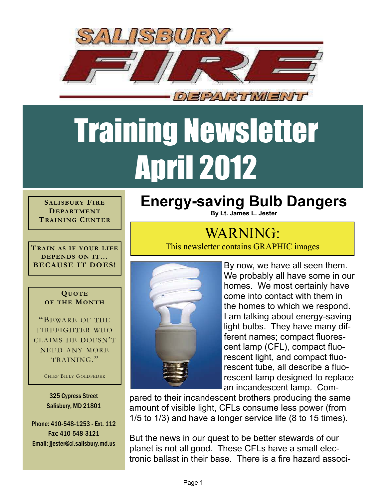

## Training Newsletter April 2012

**SALISBURY FIRE DEPARTMENT TRAINING CENTER**

**TRAIN AS IF YOUR LIFE DEPENDS ON IT… BECAUSE IT DOES!** 

## **QUOTE OF THE MONTH**

"BEWARE OF THE FIREFIGHTER WHO CLAIMS HE DOESN'T NEED ANY MORE TRAINING."

CHIEF BILLY GOLDFEDER

325 Cypress Street Salisbury, MD 21801

Phone: 410-548-1253 - Ext. 112 Fax: 410-548-3121 Email: jjester@ci.salisbury.md.us

## **Energy-saving Bulb Dangers**

**By Lt. James L. Jester**

## WARNING:

This newsletter contains GRAPHIC images



By now, we have all seen them. We probably all have some in our homes. We most certainly have come into contact with them in the homes to which we respond. I am talking about energy-saving light bulbs. They have many different names; compact fluorescent lamp (CFL), compact fluorescent light, and compact fluorescent tube, all describe a fluorescent lamp designed to replace an incandescent lamp. Com-

pared to their incandescent brothers producing the same amount of visible light, CFLs consume less power (from 1/5 to 1/3) and have a longer service life (8 to 15 times).

But the news in our quest to be better stewards of our planet is not all good. These CFLs have a small electronic ballast in their base. There is a fire hazard associ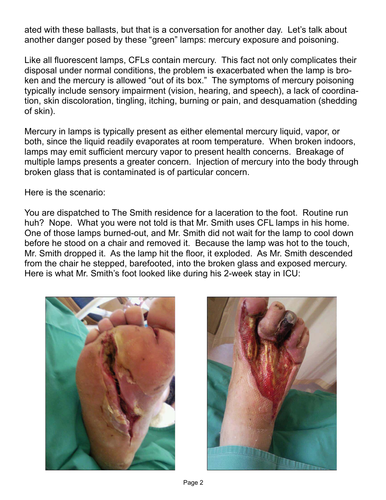ated with these ballasts, but that is a conversation for another day. Let's talk about another danger posed by these "green" lamps: mercury exposure and poisoning.

Like all fluorescent lamps, CFLs contain mercury. This fact not only complicates their disposal under normal conditions, the problem is exacerbated when the lamp is broken and the mercury is allowed "out of its box." The symptoms of mercury poisoning typically include sensory impairment (vision, hearing, and speech), a lack of coordination, skin discoloration, tingling, itching, burning or pain, and [desquamation](http://en.wikipedia.org/wiki/Desquamation) (shedding of skin).

Mercury in lamps is typically present as either elemental mercury liquid, vapor, or both, since the liquid readily evaporates at room temperature. When broken indoors, lamps may emit sufficient mercury vapor to present health concerns. Breakage of multiple lamps presents a greater concern. Injection of mercury into the body through broken glass that is contaminated is of particular concern.

Here is the scenario:

You are dispatched to The Smith residence for a laceration to the foot. Routine run huh? Nope. What you were not told is that Mr. Smith uses CFL lamps in his home. One of those lamps burned-out, and Mr. Smith did not wait for the lamp to cool down before he stood on a chair and removed it. Because the lamp was hot to the touch, Mr. Smith dropped it. As the lamp hit the floor, it exploded. As Mr. Smith descended from the chair he stepped, barefooted, into the broken glass and exposed mercury. Here is what Mr. Smith's foot looked like during his 2-week stay in ICU: